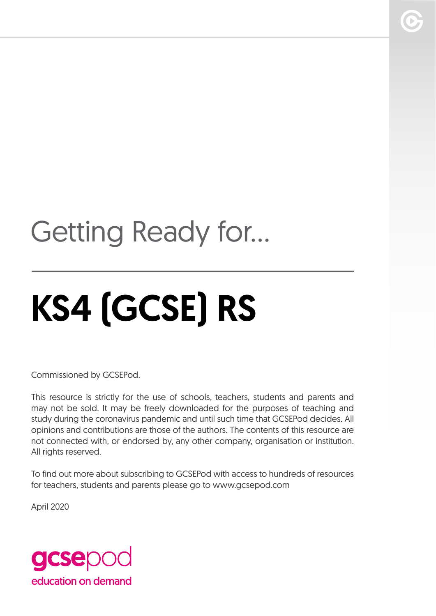## Getting Ready for...

# KS4 (GCSE) RS

Commissioned by GCSEPod.

This resource is strictly for the use of schools, teachers, students and parents and may not be sold. It may be freely downloaded for the purposes of teaching and study during the coronavirus pandemic and until such time that GCSEPod decides. All opinions and contributions are those of the authors. The contents of this resource are not connected with, or endorsed by, any other company, organisation or institution. All rights reserved.

To find out more about subscribing to GCSEPod with access to hundreds of resources for teachers, students and parents please go to www.gcsepod.com

April 2020

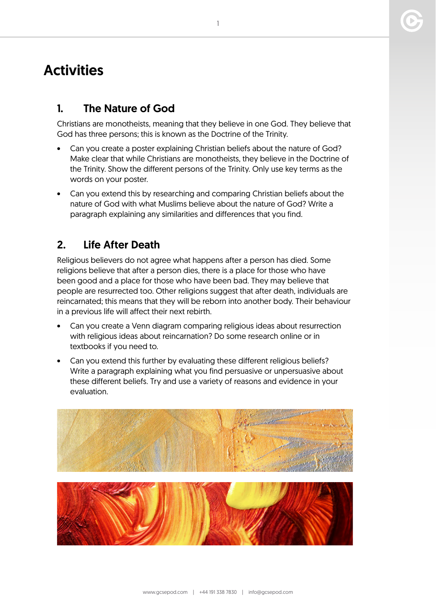### **Activities**

#### 1. The Nature of God

Christians are monotheists, meaning that they believe in one God. They believe that God has three persons; this is known as the Doctrine of the Trinity.

- Can you create a poster explaining Christian beliefs about the nature of God? Make clear that while Christians are monotheists, they believe in the Doctrine of the Trinity. Show the different persons of the Trinity. Only use key terms as the words on your poster.
- Can you extend this by researching and comparing Christian beliefs about the nature of God with what Muslims believe about the nature of God? Write a paragraph explaining any similarities and differences that you find.

#### 2. Life After Death

Religious believers do not agree what happens after a person has died. Some religions believe that after a person dies, there is a place for those who have been good and a place for those who have been bad. They may believe that people are resurrected too. Other religions suggest that after death, individuals are reincarnated; this means that they will be reborn into another body. Their behaviour in a previous life will affect their next rebirth.

- Can you create a Venn diagram comparing religious ideas about resurrection with religious ideas about reincarnation? Do some research online or in textbooks if you need to.
- Can you extend this further by evaluating these different religious beliefs? Write a paragraph explaining what you find persuasive or unpersuasive about these different beliefs. Try and use a variety of reasons and evidence in your evaluation.



1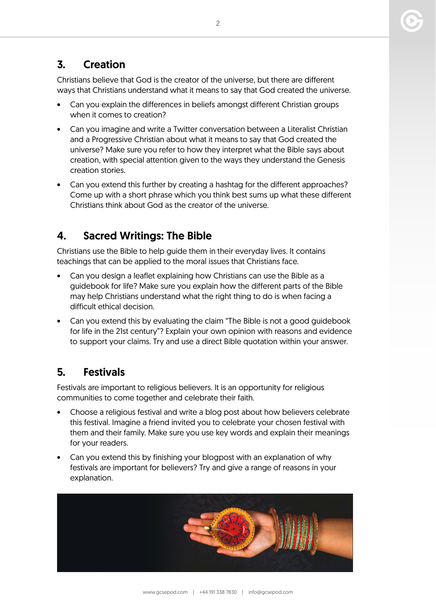#### 3. Creation

Christians believe that God is the creator of the universe, but there are different ways that Christians understand what it means to say that God created the universe.

- Can you explain the differences in beliefs amongst different Christian groups when it comes to creation?
- Can you imagine and write a Twitter conversation between a Literalist Christian and a Progressive Christian about what it means to say that God created the universe? Make sure you refer to how they interpret what the Bible says about creation, with special attention given to the ways they understand the Genesis creation stories.
- Can you extend this further by creating a hashtag for the different approaches? Come up with a short phrase which you think best sums up what these different Christians think about God as the creator of the universe.

#### 4. Sacred Writings: The Bible

Christians use the Bible to help guide them in their everyday lives. It contains teachings that can be applied to the moral issues that Christians face.

- Can you design a leaflet explaining how Christians can use the Bible as a guidebook for life? Make sure you explain how the different parts of the Bible may help Christians understand what the right thing to do is when facing a difficult ethical decision.
- Can you extend this by evaluating the claim "The Bible is not a good guidebook for life in the 21st century"? Explain your own opinion with reasons and evidence to support your claims. Try and use a direct Bible quotation within your answer.

#### 5. Festivals

Festivals are important to religious believers. It is an opportunity for religious communities to come together and celebrate their faith.

- Choose a religious festival and write a blog post about how believers celebrate this festival. Imagine a friend invited you to celebrate your chosen festival with them and their family. Make sure you use key words and explain their meanings for your readers.
- Can you extend this by finishing your blogpost with an explanation of why festivals are important for believers? Try and give a range of reasons in your explanation.

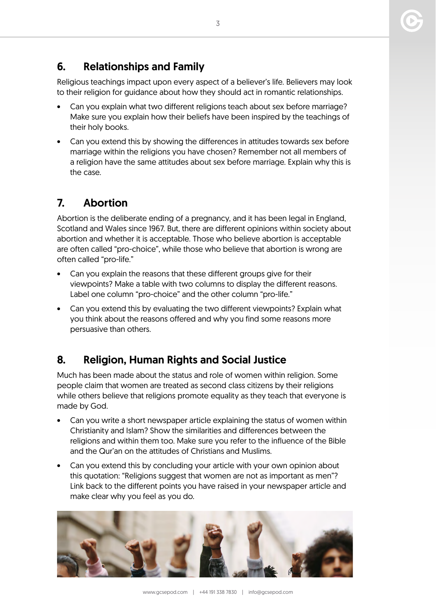#### 6. Relationships and Family

Religious teachings impact upon every aspect of a believer's life. Believers may look to their religion for guidance about how they should act in romantic relationships.

- Can you explain what two different religions teach about sex before marriage? Make sure you explain how their beliefs have been inspired by the teachings of their holy books.
- Can you extend this by showing the differences in attitudes towards sex before marriage within the religions you have chosen? Remember not all members of a religion have the same attitudes about sex before marriage. Explain why this is the case.

#### 7. Abortion

Abortion is the deliberate ending of a pregnancy, and it has been legal in England, Scotland and Wales since 1967. But, there are different opinions within society about abortion and whether it is acceptable. Those who believe abortion is acceptable are often called "pro-choice", while those who believe that abortion is wrong are often called "pro-life."

- Can you explain the reasons that these different groups give for their viewpoints? Make a table with two columns to display the different reasons. Label one column "pro-choice" and the other column "pro-life."
- Can you extend this by evaluating the two different viewpoints? Explain what you think about the reasons offered and why you find some reasons more persuasive than others.

#### 8. Religion, Human Rights and Social Justice

Much has been made about the status and role of women within religion. Some people claim that women are treated as second class citizens by their religions while others believe that religions promote equality as they teach that everyone is made by God.

- Can you write a short newspaper article explaining the status of women within Christianity and Islam? Show the similarities and differences between the religions and within them too. Make sure you refer to the influence of the Bible and the Qur'an on the attitudes of Christians and Muslims.
- Can you extend this by concluding your article with your own opinion about this quotation: "Religions suggest that women are not as important as men"? Link back to the different points you have raised in your newspaper article and make clear why you feel as you do.